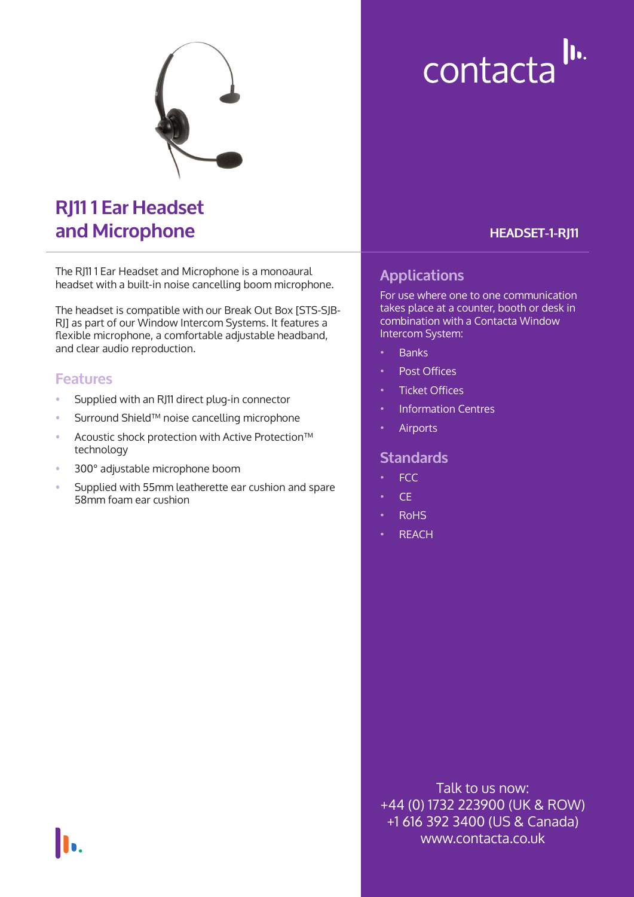

# **RJ11 1 Ear Headset and Microphone**

The RJ11 1 Ear Headset and Microphone is a monoaural headset with a built-in noise cancelling boom microphone.

The headset is compatible with our Break Out Box [STS-SJB-RJ] as part of our Window Intercom Systems. It features a flexible microphone, a comfortable adjustable headband, and clear audio reproduction.

#### **Features**

- Supplied with an RJ11 direct plug-in connector
- Surround Shield™ noise cancelling microphone
- Acoustic shock protection with Active Protection™ technology
- 300° adjustable microphone boom
- Supplied with 55mm leatherette ear cushion and spare 58mm foam ear cushion

# contacta<sup>llu.</sup>

#### **HEADSET-1-RJ11**

### **Applications**

For use where one to one communication takes place at a counter, booth or desk in combination with a Contacta Window Intercom System:

- Banks
- Post Offices
- **Ticket Offices**
- Information Centres
- **Airports**

#### **Standards**

- FCC
- CE
- RoHS
- **REACH**

Talk to us now: +44 (0) 1732 223900 (UK & ROW) +1 616 392 3400 (US & Canada) www.contacta.co.uk